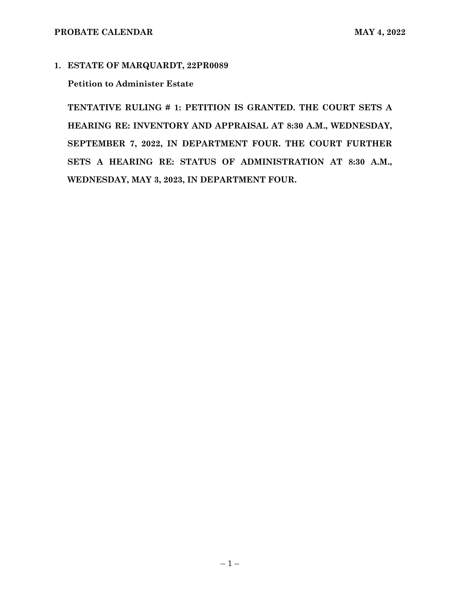#### **1. ESTATE OF MARQUARDT, 22PR0089**

#### **Petition to Administer Estate**

**TENTATIVE RULING # 1: PETITION IS GRANTED. THE COURT SETS A HEARING RE: INVENTORY AND APPRAISAL AT 8:30 A.M., WEDNESDAY, SEPTEMBER 7, 2022, IN DEPARTMENT FOUR. THE COURT FURTHER SETS A HEARING RE: STATUS OF ADMINISTRATION AT 8:30 A.M., WEDNESDAY, MAY 3, 2023, IN DEPARTMENT FOUR.**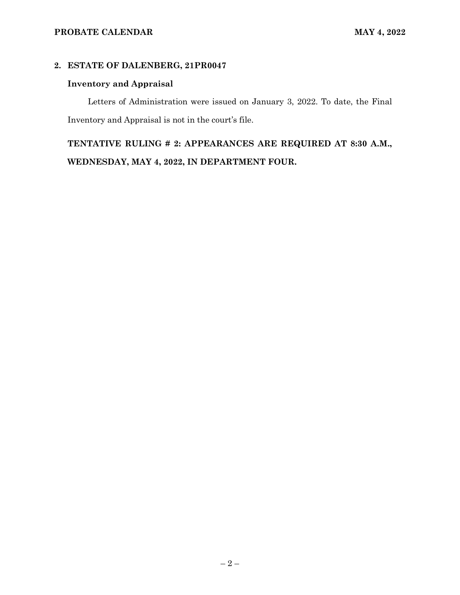### **2. ESTATE OF DALENBERG, 21PR0047**

# **Inventory and Appraisal**

Letters of Administration were issued on January 3, 2022. To date, the Final Inventory and Appraisal is not in the court's file.

**TENTATIVE RULING # 2: APPEARANCES ARE REQUIRED AT 8:30 A.M., WEDNESDAY, MAY 4, 2022, IN DEPARTMENT FOUR.**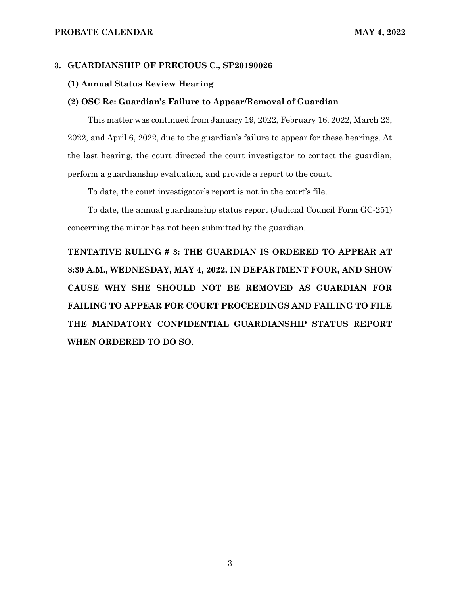#### **3. GUARDIANSHIP OF PRECIOUS C., SP20190026**

#### **(1) Annual Status Review Hearing**

#### **(2) OSC Re: Guardian's Failure to Appear/Removal of Guardian**

This matter was continued from January 19, 2022, February 16, 2022, March 23, 2022, and April 6, 2022, due to the guardian's failure to appear for these hearings. At the last hearing, the court directed the court investigator to contact the guardian, perform a guardianship evaluation, and provide a report to the court.

To date, the court investigator's report is not in the court's file.

To date, the annual guardianship status report (Judicial Council Form GC-251) concerning the minor has not been submitted by the guardian.

**TENTATIVE RULING # 3: THE GUARDIAN IS ORDERED TO APPEAR AT 8:30 A.M., WEDNESDAY, MAY 4, 2022, IN DEPARTMENT FOUR, AND SHOW CAUSE WHY SHE SHOULD NOT BE REMOVED AS GUARDIAN FOR FAILING TO APPEAR FOR COURT PROCEEDINGS AND FAILING TO FILE THE MANDATORY CONFIDENTIAL GUARDIANSHIP STATUS REPORT WHEN ORDERED TO DO SO.**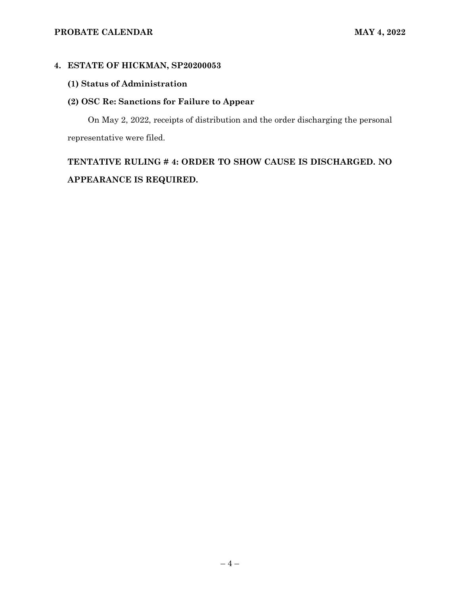## **PROBATE CALENDAR MAY 4, 2022**

### **4. ESTATE OF HICKMAN, SP20200053**

# **(1) Status of Administration**

## **(2) OSC Re: Sanctions for Failure to Appear**

On May 2, 2022, receipts of distribution and the order discharging the personal representative were filed.

# **TENTATIVE RULING # 4: ORDER TO SHOW CAUSE IS DISCHARGED. NO APPEARANCE IS REQUIRED.**